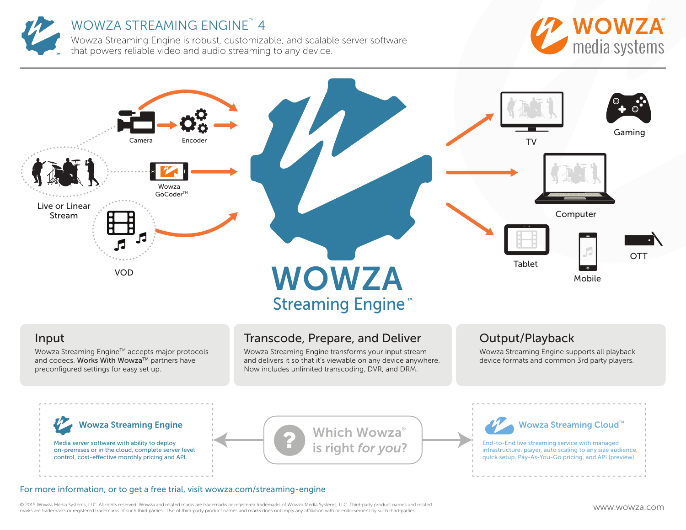

# WOWZA STREAMING ENGINE™ 4

Wowza Streaming Engine is robust, customizable, and scalable server software that powers reliable video and audio streaming to any device.





### Input

Wowza Streaming Engine™ accepts major protocols and codecs. Works With Wowza™ partners have preconfigured settings for easy set up.

# Transcode, Prepare, and Deliver

Wowza Streaming Engine transforms your input stream and delivers it so that it's viewable on any device anywhere. Now includes unlimited transcoding, DVR, and DRM.

## Output/Playback

Wowza Streaming Engine supports all playback device formats and common 3rd party players.



Media server software with ability to deploy on-premises or in the cloud, complete server level control, cost-efective monthly pricing and API.

# Which Wowza<sup>®</sup>

#### Wowza Streaming Cloud<sup>™</sup>

**is right for you?** End-to-End live streaming service with managed infrastructure, player, auto scaling to any size aud infrastructure, player, auto scaling to any size audience, quick setup, Pay-As-You-Go pricing, and API (preview).

#### For more information, or to get a free trial, visit wowza.com/streaming-engine

© 2015 Wowza Media Systems, LLC. All rights reserved. Wowza and related marks are trademarks or registered trademarks of Wowza Media Systems, LLC. Third-party product names and related  $\mathbb{P}_{\text{max}}$  marks are trademarks or registered trademarks of such third-parties. Use of third-party product names and marks does not imply any affiliation with or endorsement by such third-parties. We will be a strated